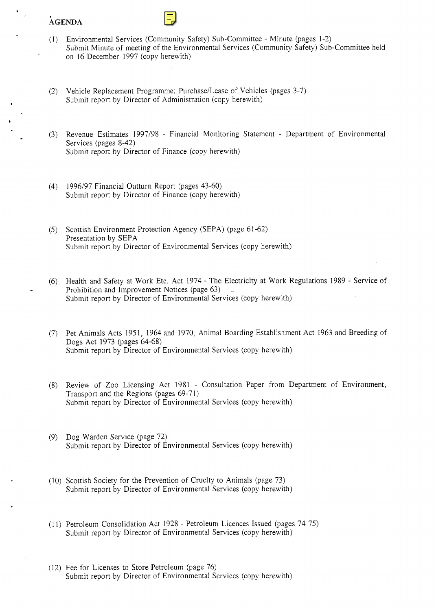## **AGENDA**

**I** 

- $(1)$  Environmental Services (Community Safety) Sub-Committee Minute (pages 1-2) [Submit Minute of meeting of the Environmental Services \(Community Safety\) Sub-Committee held](HTTP://mars.northlan.gov.uk/xpedio/groups/public/documents/report/043668.pdf)  on 16 December 1997 (copy herewith)
- (2) Vehicle Replacement Programme: Purchase/Lease of Vehicles (pages 3-7) Submit report by Director of Administration (copy herewith).
- (3) Revenue Estimates 199798 Financial Monitoring Statement Department of Environmental Services (pages 8-42) [Submit report by Director of Finance \(copy herewith\)](HTTP://mars.northlan.gov.uk/xpedio/groups/public/documents/report/043670.pdf)
- (4) [1996/97 Financial Outturn Report \(pages 43-60\)](HTTP://mars.northlan.gov.uk/xpedio/groups/public/documents/report/043671.pdf)  Submit report by Director of Finance (copy herewith)
- *(5)* Scottish Environment Protection Agency (SEPA) (page 6 1-62) Presentation by SEPA [Submit report by Director of Environmental Services \(copy herewith\)](HTTP://mars.northlan.gov.uk/xpedio/groups/public/documents/report/043672.pdf)
- (6) Health and Safety at Work Etc. Act 1974 The Electricity at Work Regulations 1989 Service of [Submit report by Director of Environmental Services \(copy herewith\)](HTTP://mars.northlan.gov.uk/xpedio/groups/public/documents/report/043673.pdf)  Prohibition and Improvement Notices (page 63)
- (7) [Pet Animals Acts 1951, 1964 and 1970, Animal Boarding Establishment Act 1963 and Breeding of](HTTP://mars.northlan.gov.uk/xpedio/groups/public/documents/report/043674.pdf)  Dogs Act 1973 (pages 64-68) Submit report by Director of Environmental Services (copy herewith)
- Review of Zoo Licensing Act 1981 Consultation Paper from Department of Environment, Transport and the Regions (pages  $69-71$ ) [Submit report by Director of Environmental Services \(copy herewith\)](HTTP://mars.northlan.gov.uk/xpedio/groups/public/documents/report/043675.pdf)
- $(9)$  Dog Warden Service (page 72) [Submit report by Director of Environmental Services \(copy herewith\)](HTTP://mars.northlan.gov.uk/xpedio/groups/public/documents/report/043676.pdf)
- (10) Scottish Society for the Prevention of Cruelty to Animals (page 73) Submit report by Director of Environmental Services (copy herewith)
- (11) Petroleum Consolidation Act 1928 Petroleum Licences Issued (pages 74-75) [Submit report by Director of Environmental Services \(copy herewith\)](HTTP://mars.northlan.gov.uk/xpedio/groups/public/documents/report/043678.pdf)
- (12) Fee for Licenses to Store Petroleum (page 76) Submit report by Director of Environmental Services (copy herewith)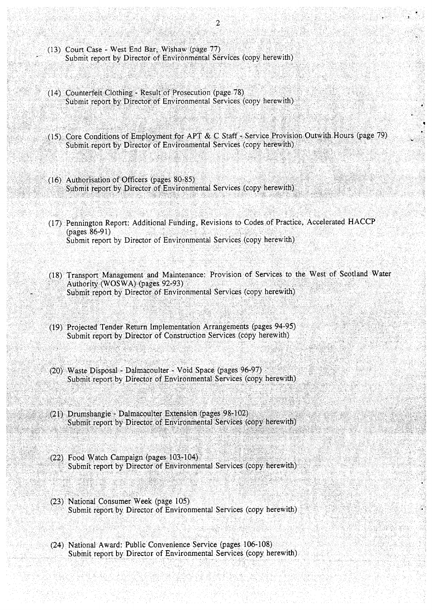- (13) Court Case West End Bar, Wishaw (page 77) Submit report by Director of Environmental Services (copy herewith)
- (14) Counterfeit Clothing Result of Prosecution (page 78) Submit report by Director of Environmental Services (copy herewith)
- (15) Core Conditions of Employment for APT & C Staff Service Provision Outwith Hours (page 79) Submit report by Director of Environmental Services (copy herewith)
- (16) Authorisation of Officers (pages 80-85) Submit report by Director of Environmental Services (copy herewith)
- (17) Pennington Report: Additional Funding, Revisions to Codes of Practice, Accelerated HACCP (pages 86-91) Submit report by Director of Environmental Services (copy herewith)
- (18) Transport Management and Maintenance: Provision of Services to the West of Scotland Water Authority (WOSWA) (pages 92-93) Submit report by Director of Environmental Services (copy herewith)
- (19) Projected Tender Return Implementation Arrangements (pages 94-95) Submit report by Director of Construction Services (copy herewith)
- (20) Waste Disposal Dalmacoulter Void Space (pages 96-97) Submit report by Director of Environmental Services (copy herewith)
- (21) Drumshangie Dalmacoulter Extension (pages 98-102) Submit report by Director of Environmental Services (copy herewith)
- (22) Food Watch Campaign (pages 103-104) Submit report by Director of Environmental Services (copy herewith)
- (23) National Consumer Week (page 105) Submit report by Director of Environmental Services (copy herewith)
- (24) National Award: Public Convenience Service (pages 106-108) Submit report by Director of Environmental Services (copy herewith)